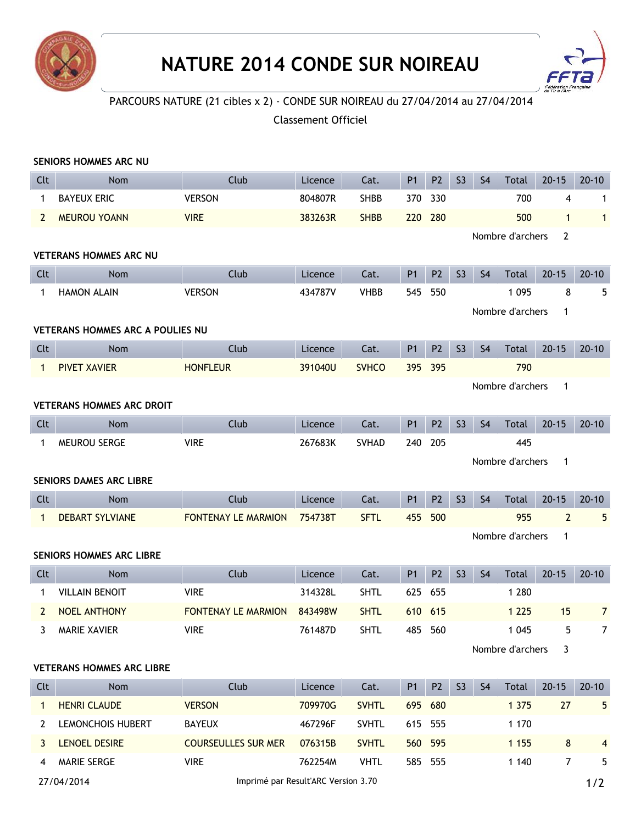



## PARCOURS NATURE (21 cibles x 2) - CONDE SUR NOIREAU du 27/04/2014 au 27/04/2014

## Classement Officiel

|                                         | SENIORS HOMMES ARC NU              |                                 |         |              |                |                |                |                |                  |                |                |
|-----------------------------------------|------------------------------------|---------------------------------|---------|--------------|----------------|----------------|----------------|----------------|------------------|----------------|----------------|
| Clt                                     | <b>Nom</b>                         | Club                            | Licence | Cat.         | P1             | P <sub>2</sub> | S <sub>3</sub> | S <sub>4</sub> | <b>Total</b>     | $20 - 15$      | $20 - 10$      |
| $\mathbf{1}$                            | <b>BAYEUX ERIC</b>                 | <b>VERSON</b>                   | 804807R | <b>SHBB</b>  | 370            | 330            |                |                | 700              | 4              | 1              |
| $\mathbf{2}$                            | <b>MEUROU YOANN</b>                | <b>VIRE</b>                     | 383263R | <b>SHBB</b>  | 220            | 280            |                |                | 500              | 1              | $\mathbf{1}$   |
| Nombre d'archers                        |                                    |                                 |         |              |                |                |                | $\overline{2}$ |                  |                |                |
| <b>VETERANS HOMMES ARC NU</b>           |                                    |                                 |         |              |                |                |                |                |                  |                |                |
| Clt                                     | <b>Nom</b>                         | Club                            | Licence | Cat.         | <b>P1</b>      | P <sub>2</sub> | S <sub>3</sub> | S <sub>4</sub> | Total            | $20 - 15$      | $20 - 10$      |
| 1                                       | <b>HAMON ALAIN</b>                 | <b>VERSON</b>                   | 434787V | <b>VHBB</b>  | 545            | 550            |                |                | 1 0 9 5          | 8              | 5              |
|                                         |                                    |                                 |         |              |                |                |                |                | Nombre d'archers | 1              |                |
| <b>VETERANS HOMMES ARC A POULIES NU</b> |                                    |                                 |         |              |                |                |                |                |                  |                |                |
| Clt                                     | <b>Nom</b>                         | Club                            | Licence | Cat.         | <b>P1</b>      | P <sub>2</sub> | S <sub>3</sub> | <b>S4</b>      | Total            | $20 - 15$      | $20 - 10$      |
| $\mathbf{1}$                            | <b>PIVET XAVIER</b>                | <b>HONFLEUR</b>                 | 391040U | <b>SVHCO</b> | 395            | 395            |                |                | 790              |                |                |
|                                         | Nombre d'archers<br>$\overline{1}$ |                                 |         |              |                |                |                |                |                  |                |                |
| <b>VETERANS HOMMES ARC DROIT</b>        |                                    |                                 |         |              |                |                |                |                |                  |                |                |
| Clt                                     | Nom                                | Club                            | Licence | Cat.         | P <sub>1</sub> | P <sub>2</sub> | S <sub>3</sub> | S <sub>4</sub> | Total            | $20 - 15$      | $20 - 10$      |
| $\mathbf{1}$                            | MEUROU SERGE                       | <b>VIRE</b>                     | 267683K | <b>SVHAD</b> | 240            | 205            |                |                | 445              |                |                |
|                                         |                                    |                                 |         |              |                |                |                |                | Nombre d'archers | $\mathbf{1}$   |                |
| <b>SENIORS DAMES ARC LIBRE</b>          |                                    |                                 |         |              |                |                |                |                |                  |                |                |
| Clt                                     | Nom                                | Club                            | Licence | Cat.         | <b>P1</b>      | P <sub>2</sub> | S <sub>3</sub> | S <sub>4</sub> | Total            | $20 - 15$      | $20 - 10$      |
| $\mathbf{1}$                            | <b>DEBART SYLVIANE</b>             | <b>FONTENAY LE MARMION</b>      | 754738T | <b>SFTL</b>  | 455            | 500            |                |                | 955              | $\overline{2}$ | 5              |
|                                         |                                    | Nombre d'archers<br>$\mathbf 1$ |         |              |                |                |                |                |                  |                |                |
|                                         | SENIORS HOMMES ARC LIBRE           |                                 |         |              |                |                |                |                |                  |                |                |
| Clt                                     | <b>Nom</b>                         | Club                            | Licence | Cat.         | <b>P1</b>      | P <sub>2</sub> | S <sub>3</sub> | S <sub>4</sub> | Total            | $20 - 15$      | $20 - 10$      |
| 1                                       | <b>VILLAIN BENOIT</b>              | <b>VIRE</b>                     | 314328L | <b>SHTL</b>  | 625            | 655            |                |                | 1 2 8 0          |                |                |
| $\overline{2}$                          | NOEL ANTHONY                       | FONTENAY LE MARMION             | 843498W | <b>SHTL</b>  |                | 610 615        |                |                | 1 2 2 5          | 15             | $\mathbf{7}$   |
|                                         | 3 MARIE XAVIER                     | <b>VIRE</b>                     | 761487D | <b>SHTL</b>  |                | 485 560        |                |                | 1 0 4 5          | 5.             | $\overline{7}$ |
|                                         |                                    |                                 |         |              |                |                |                |                | Nombre d'archers | 3              |                |
| <b>VETERANS HOMMES ARC LIBRE</b>        |                                    |                                 |         |              |                |                |                |                |                  |                |                |
| Clt                                     | Nom                                | Club                            | Licence | Cat.         | P1             | P <sub>2</sub> | S <sub>3</sub> | S <sub>4</sub> | Total            | $20 - 15$      | $20 - 10$      |
| $\mathbf{1}$                            | <b>HENRI CLAUDE</b>                | <b>VERSON</b>                   | 709970G | <b>SVHTL</b> |                | 695 680        |                |                | 1 3 7 5          | 27             | 5              |
| $2^{\circ}$                             | <b>LEMONCHOIS HUBERT</b>           | <b>BAYEUX</b>                   | 467296F | <b>SVHTL</b> |                | 615 555        |                |                | 1 1 7 0          |                |                |
|                                         |                                    |                                 |         |              |                |                |                |                |                  |                |                |
| 3                                       | LENOEL DESIRE                      | <b>COURSEULLES SUR MER</b>      | 076315B | <b>SVHTL</b> |                | 560 595        |                |                | 1 1 5 5          | 8              | 4              |